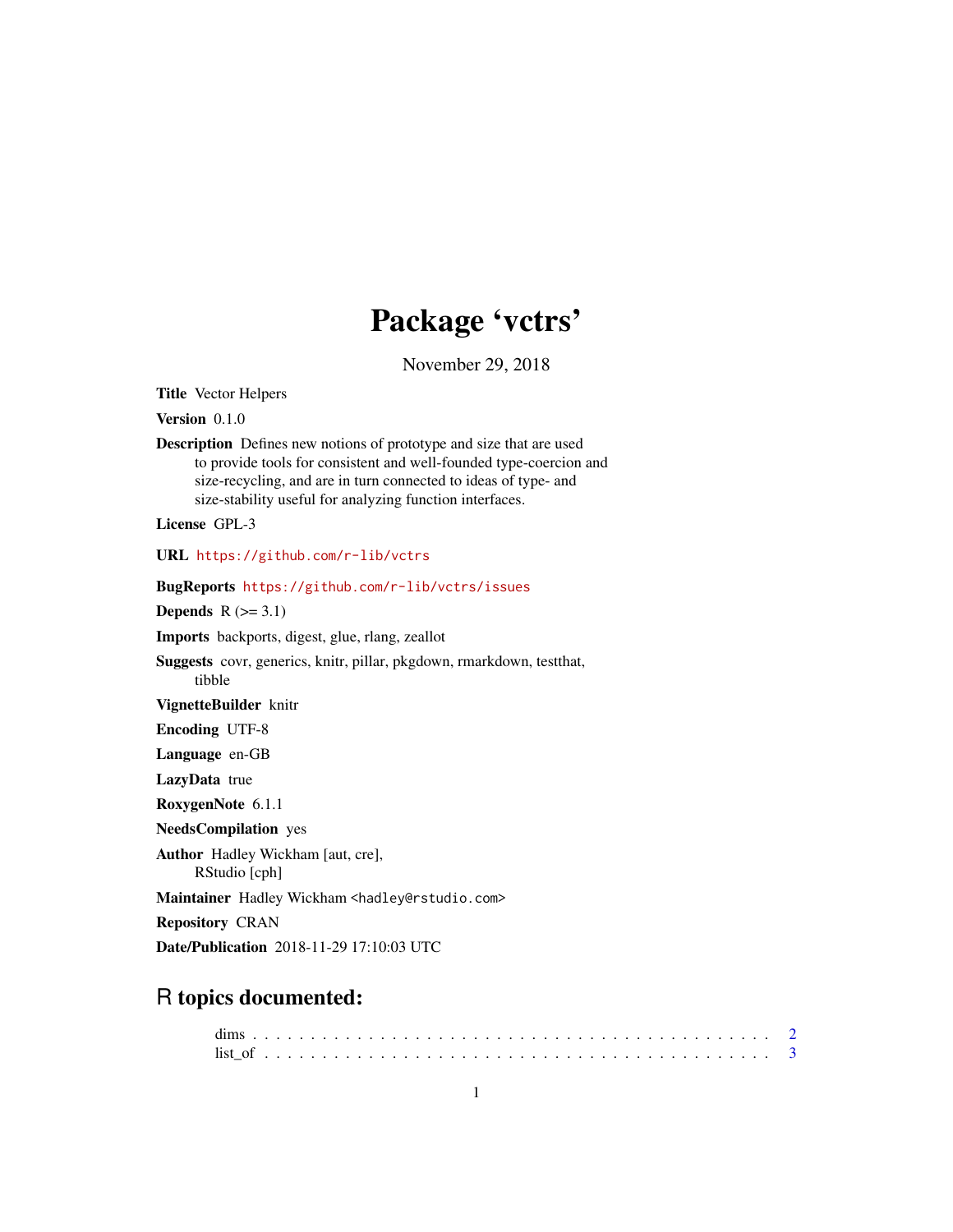# Package 'vctrs'

November 29, 2018

<span id="page-0-0"></span>Title Vector Helpers

Version 0.1.0

Description Defines new notions of prototype and size that are used to provide tools for consistent and well-founded type-coercion and size-recycling, and are in turn connected to ideas of type- and size-stability useful for analyzing function interfaces.

License GPL-3

URL <https://github.com/r-lib/vctrs>

BugReports <https://github.com/r-lib/vctrs/issues>

Depends  $R$  ( $>= 3.1$ )

Imports backports, digest, glue, rlang, zeallot

Suggests covr, generics, knitr, pillar, pkgdown, rmarkdown, testthat, tibble

VignetteBuilder knitr

Encoding UTF-8

Language en-GB

LazyData true

RoxygenNote 6.1.1

NeedsCompilation yes

Author Hadley Wickham [aut, cre],

RStudio [cph]

Maintainer Hadley Wickham <hadley@rstudio.com>

Repository CRAN

Date/Publication 2018-11-29 17:10:03 UTC

# R topics documented: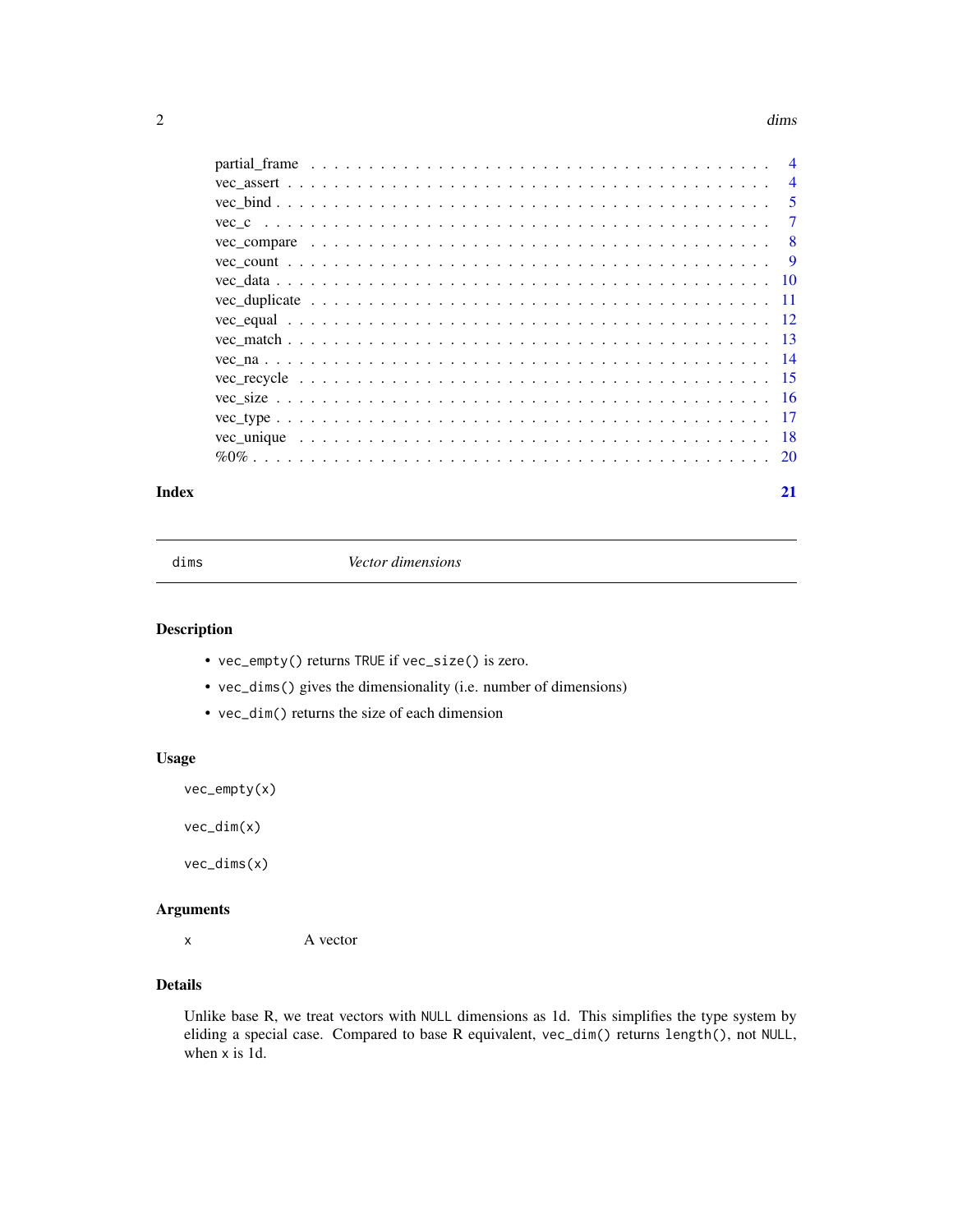#### <span id="page-1-0"></span>2 dims

|  | $\overline{4}$ |
|--|----------------|
|  | $\overline{4}$ |
|  | 5              |
|  | $\overline{7}$ |
|  | 8              |
|  | - 9            |
|  |                |
|  |                |
|  |                |
|  |                |
|  |                |
|  |                |
|  |                |
|  |                |
|  |                |
|  |                |
|  |                |

# **Index** [21](#page-20-0)

dims *Vector dimensions*

# <span id="page-1-1"></span>Description

- vec\_empty() returns TRUE if vec\_size() is zero.
- vec\_dims() gives the dimensionality (i.e. number of dimensions)
- vec\_dim() returns the size of each dimension

# Usage

```
vec_empty(x)
```
vec\_dim(x)

vec\_dims(x)

# Arguments

x A vector

# Details

Unlike base R, we treat vectors with NULL dimensions as 1d. This simplifies the type system by eliding a special case. Compared to base R equivalent, vec\_dim() returns length(), not NULL, when x is 1d.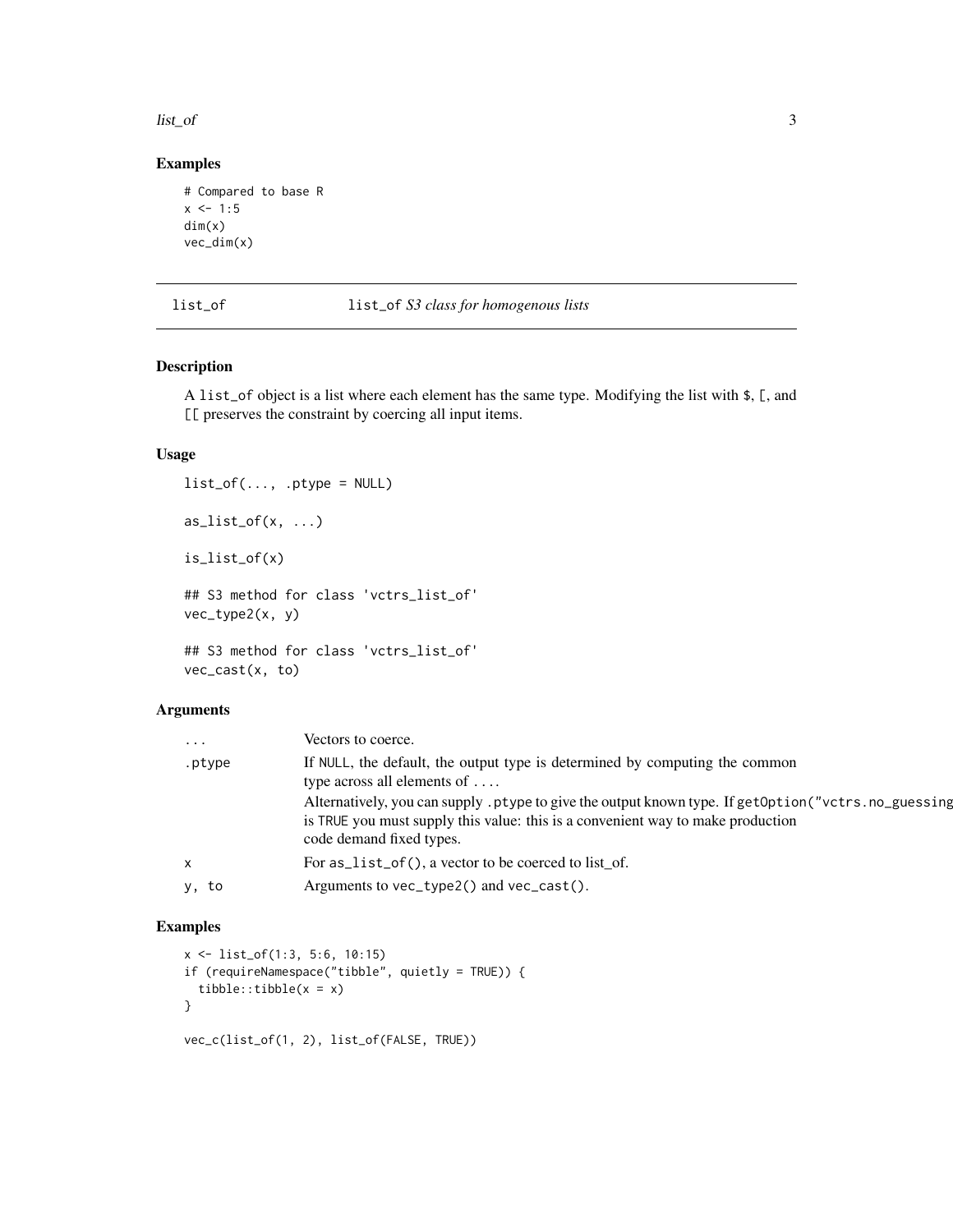<span id="page-2-0"></span>list\_of 3

# Examples

```
# Compared to base R
x \le -1:5dim(x)
vec_dim(x)
```
# list\_of list\_of *S3 class for homogenous lists*

# Description

A list\_of object is a list where each element has the same type. Modifying the list with \$, [, and [[ preserves the constraint by coercing all input items.

# Usage

```
list_of(..., .ptype = NULL)as\_list_of(x, ...)is_list_of(x)
## S3 method for class 'vctrs_list_of'
vec_type2(x, y)
## S3 method for class 'vctrs_list_of'
vec_cast(x, to)
```
# Arguments

| $\cdots$ | Vectors to coerce.                                                                                                                                                                                                 |
|----------|--------------------------------------------------------------------------------------------------------------------------------------------------------------------------------------------------------------------|
| .ptype   | If NULL, the default, the output type is determined by computing the common<br>type across all elements of $\dots$                                                                                                 |
|          | Alternatively, you can supply ptype to give the output known type. If getOption ("vctrs.no_guessing<br>is TRUE you must supply this value: this is a convenient way to make production<br>code demand fixed types. |
| X        | For $as\_list_of()$ , a vector to be coerced to list_of.                                                                                                                                                           |
| y, to    | Arguments to $vec_type2()$ and $vec_cast()$ .                                                                                                                                                                      |

```
x <- list_of(1:3, 5:6, 10:15)
if (requireNamespace("tibble", quietly = TRUE)) {
  tibble::tibble(x = x)}
vec_c(list_of(1, 2), list_of(FALSE, TRUE))
```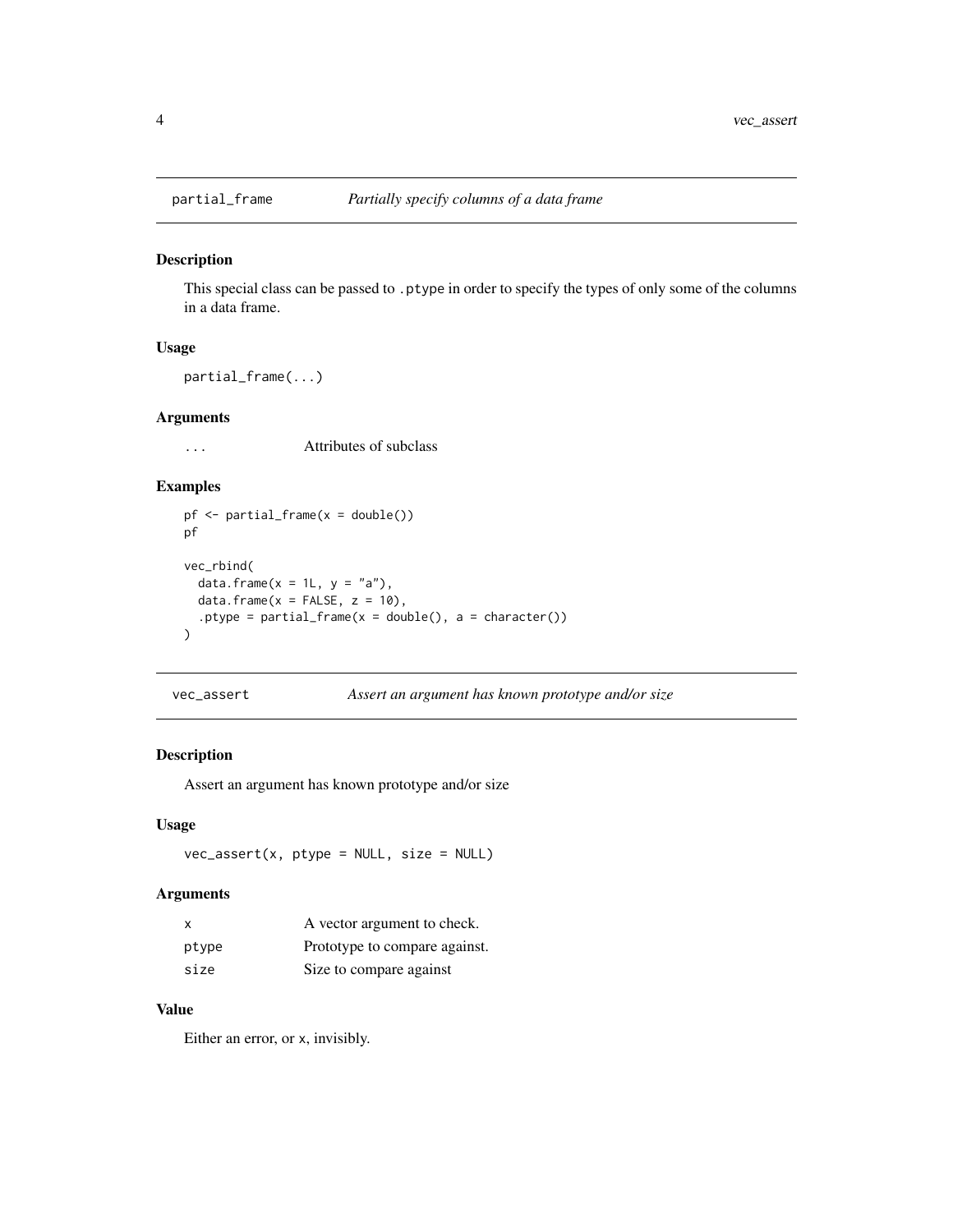<span id="page-3-0"></span>

This special class can be passed to .ptype in order to specify the types of only some of the columns in a data frame.

#### Usage

partial\_frame(...)

#### Arguments

... Attributes of subclass

# Examples

```
pf \leftarrow partial_frame(x = double())
pf
vec_rbind(
  data.frame(x = 1L, y = "a"),
  data.frame(x =FALSE, z = 10),
  .ptype = partial_frame(x = double(), a = character())
\overline{\phantom{a}}
```
vec\_assert *Assert an argument has known prototype and/or size*

# Description

Assert an argument has known prototype and/or size

#### Usage

 $vec\_assert(x, ptype = NULL, size = NULL)$ 

#### Arguments

| $\times$ | A vector argument to check.   |
|----------|-------------------------------|
| ptype    | Prototype to compare against. |
| size     | Size to compare against       |

# Value

Either an error, or x, invisibly.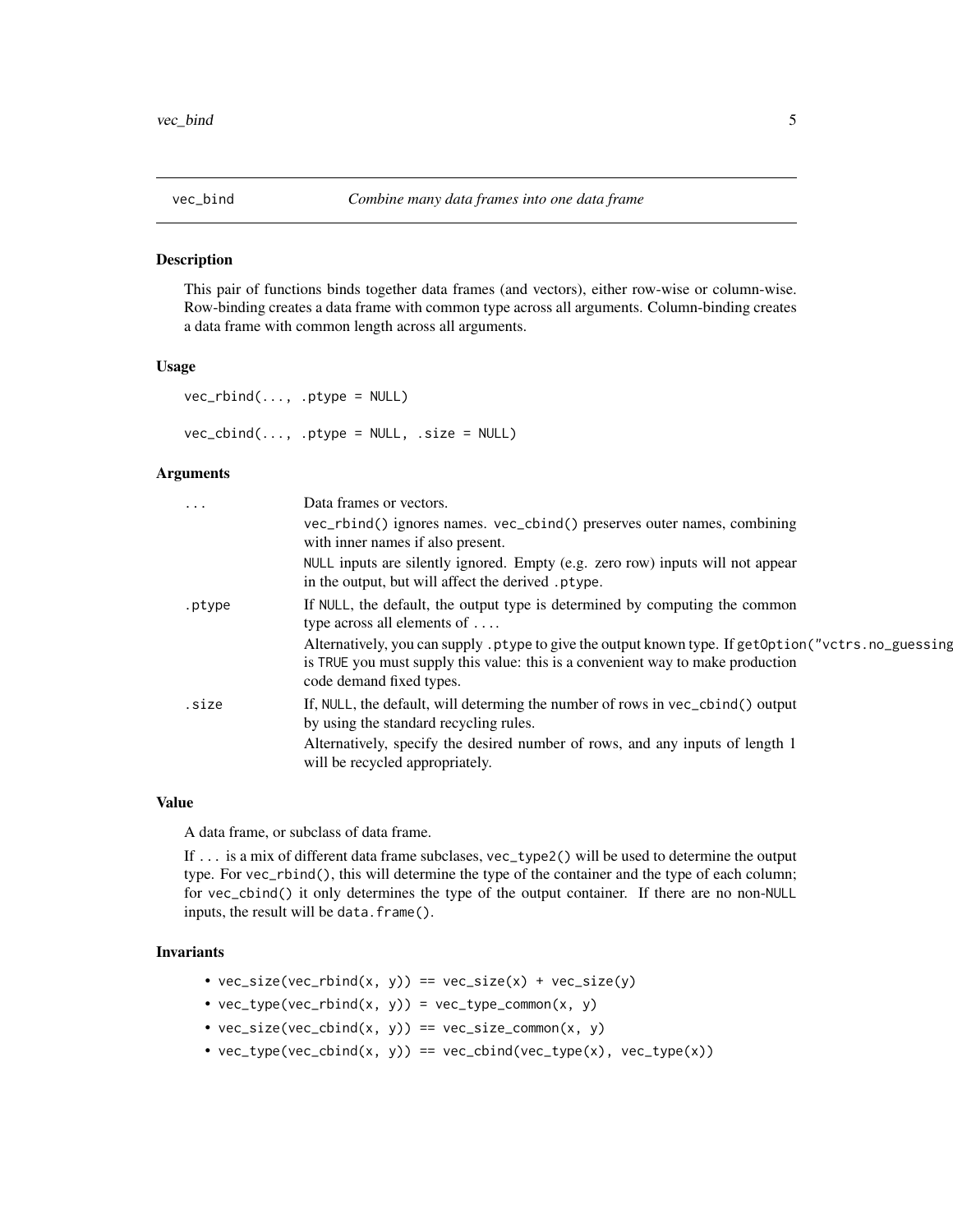<span id="page-4-1"></span><span id="page-4-0"></span>

This pair of functions binds together data frames (and vectors), either row-wise or column-wise. Row-binding creates a data frame with common type across all arguments. Column-binding creates a data frame with common length across all arguments.

#### Usage

```
vec_rbind(..., .ptype = NULL)
```
 $vec\_cbind(..., .ptype = NULL, .size = NULL)$ 

# Arguments

| $\ddots$ . | Data frames or vectors.                                                                                                                                                                                            |
|------------|--------------------------------------------------------------------------------------------------------------------------------------------------------------------------------------------------------------------|
|            | vec_rbind() ignores names. vec_cbind() preserves outer names, combining<br>with inner names if also present.                                                                                                       |
|            | NULL inputs are silently ignored. Empty (e.g. zero row) inputs will not appear<br>in the output, but will affect the derived .ptype.                                                                               |
| .ptype     | If NULL, the default, the output type is determined by computing the common<br>type across all elements of $\dots$                                                                                                 |
|            | Alternatively, you can supply ptype to give the output known type. If getOption ("vctrs.no_guessing<br>is TRUE you must supply this value: this is a convenient way to make production<br>code demand fixed types. |
| .size      | If, NULL, the default, will determing the number of rows in vec_cbind() output<br>by using the standard recycling rules.                                                                                           |
|            | Alternatively, specify the desired number of rows, and any inputs of length 1<br>will be recycled appropriately.                                                                                                   |
|            |                                                                                                                                                                                                                    |

# Value

A data frame, or subclass of data frame.

If ... is a mix of different data frame subclases, vec\_type2() will be used to determine the output type. For vec\_rbind(), this will determine the type of the container and the type of each column; for vec\_cbind() it only determines the type of the output container. If there are no non-NULL inputs, the result will be data.frame().

# Invariants

- $vec_size(vec\_rbind(x, y)) == vec_size(x) + vec_size(y)$
- $vec_type(vec_rbind(x, y)) = vec_type_{common(x, y)}$
- $vec_size(vec\_cbind(x, y)) == vec_size\_common(x, y)$
- $vec_type(vec\_cbind(x, y)) == vec\_cbind(vec_type(x), vec_type(x))$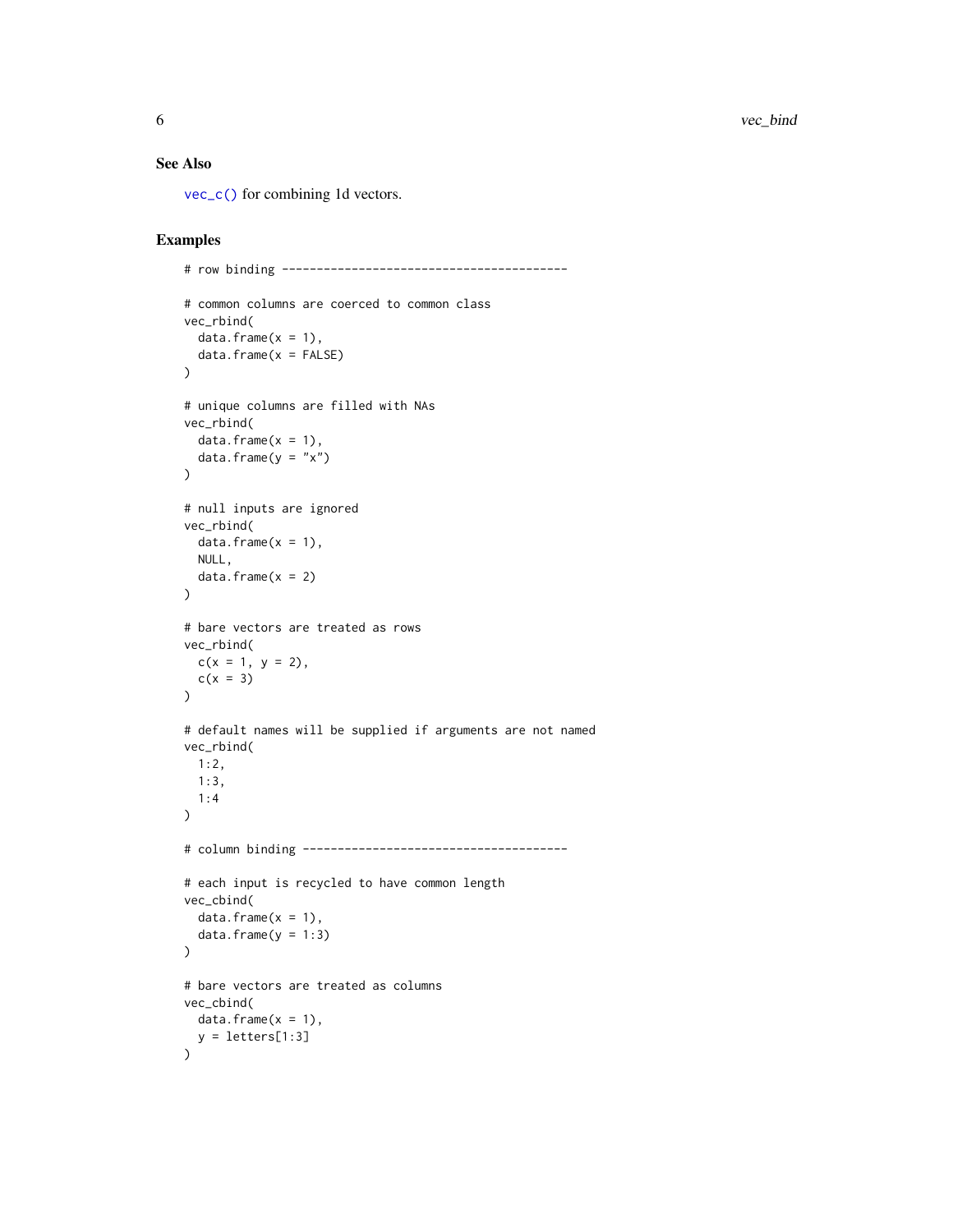# <span id="page-5-0"></span>See Also

[vec\\_c\(\)](#page-6-1) for combining 1d vectors.

```
# row binding -----------------------------------------
# common columns are coerced to common class
vec_rbind(
  data.frame(x = 1),
  data.frame(x = FALSE))
# unique columns are filled with NAs
vec_rbind(
 data.frame(x = 1),
  data.frame(y = "x")\lambda# null inputs are ignored
vec_rbind(
 data.frame(x = 1),
 NULL,
  data.frame(x = 2))
# bare vectors are treated as rows
vec_rbind(
 c(x = 1, y = 2),
 c(x = 3)\mathcal{L}# default names will be supplied if arguments are not named
vec_rbind(
 1:2,
 1:3,
 1:4
\mathcal{L}# column binding --------------------------------------
# each input is recycled to have common length
vec_cbind(
  data.frame(x = 1),
  data.frame(y = 1:3)
\mathcal{L}# bare vectors are treated as columns
vec_cbind(
 data.frame(x = 1),
 y = letters[1:3]\overline{\phantom{a}}
```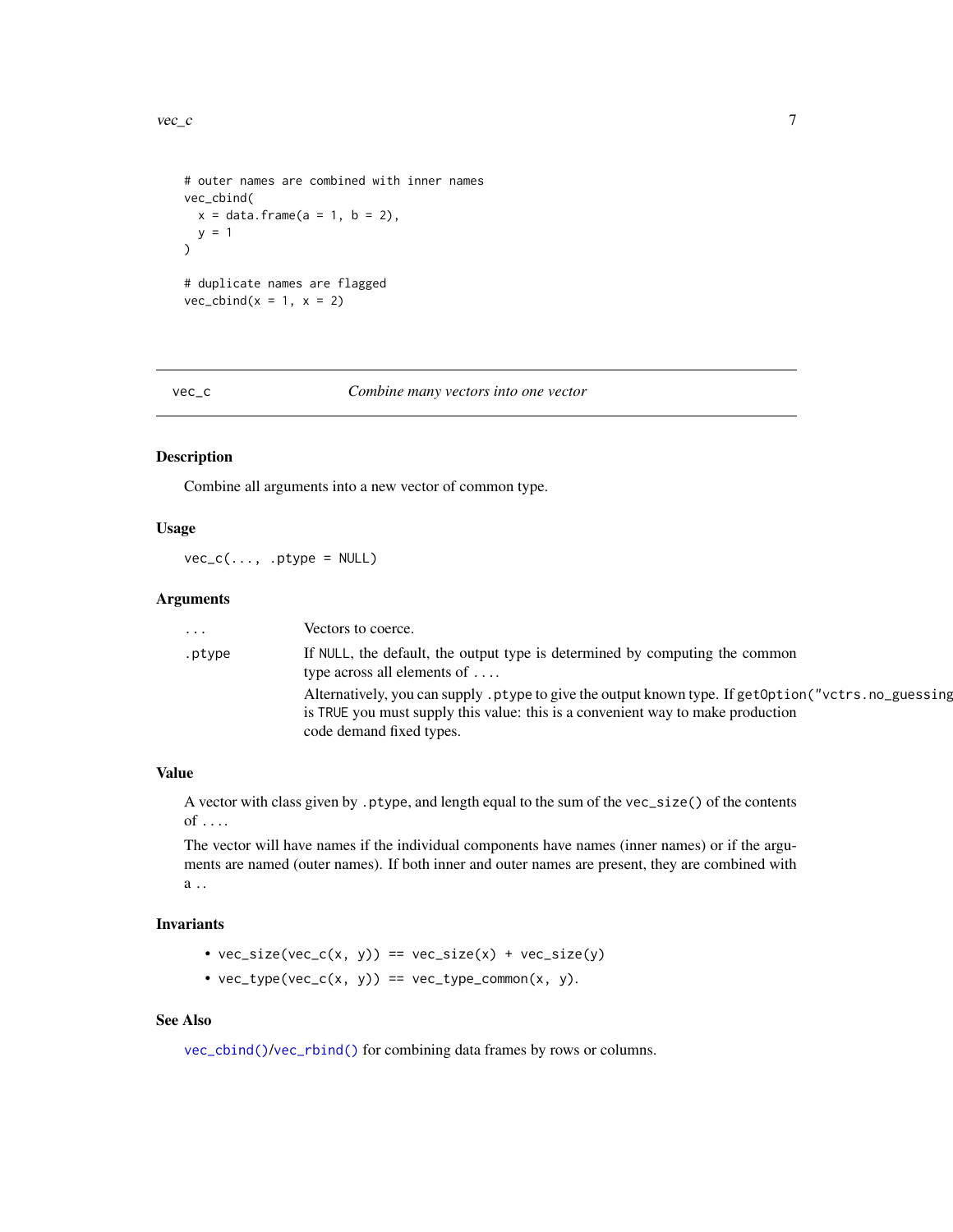```
# outer names are combined with inner names
vec_cbind(
 x = data. frame(a = 1, b = 2),
  y = 1)
# duplicate names are flagged
vec\_cbind(x = 1, x = 2)
```
<span id="page-6-1"></span>

vec\_c *Combine many vectors into one vector*

#### Description

Combine all arguments into a new vector of common type.

# Usage

 $vec_c(..., .ptype = NULL)$ 

# Arguments

| .      | Vectors to coerce.                                                                                                                                                                                                |
|--------|-------------------------------------------------------------------------------------------------------------------------------------------------------------------------------------------------------------------|
| .ptype | If NULL, the default, the output type is determined by computing the common<br>type across all elements of $\dots$                                                                                                |
|        | Alternatively, you can supply ptype to give the output known type. If getOption("vctrs.no_guessing<br>is TRUE you must supply this value: this is a convenient way to make production<br>code demand fixed types. |

# Value

A vector with class given by .ptype, and length equal to the sum of the vec\_size() of the contents of ....

The vector will have names if the individual components have names (inner names) or if the arguments are named (outer names). If both inner and outer names are present, they are combined with a ..

# Invariants

- $vec_size(vec_c(x, y)) == vec_size(x) + vec_size(y)$
- $vec_type(vec_c(x, y)) == vec_type_{common(x, y)}$ .

# See Also

[vec\\_cbind\(\)](#page-4-1)/[vec\\_rbind\(\)](#page-4-1) for combining data frames by rows or columns.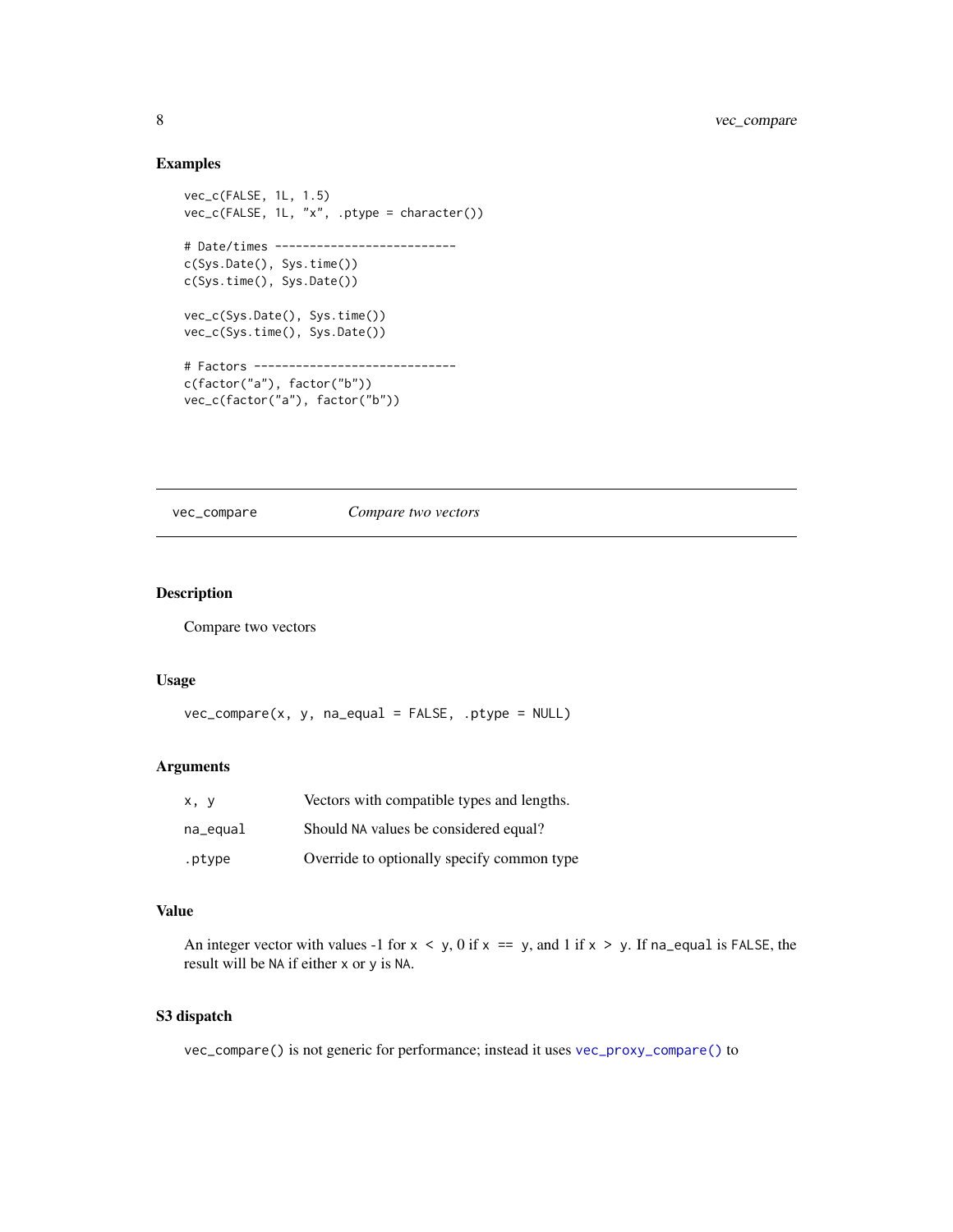# Examples

```
vec_c(FALSE, 1L, 1.5)
vec_c(FALSE, 1L, "x", .ptype = character())
# Date/times --------------------------
c(Sys.Date(), Sys.time())
c(Sys.time(), Sys.Date())
vec_c(Sys.Date(), Sys.time())
vec_c(Sys.time(), Sys.Date())
# Factors -----------------------------
c(factor("a"), factor("b"))
vec_c(factor("a"), factor("b"))
```
vec\_compare *Compare two vectors*

# Description

Compare two vectors

#### Usage

```
vec_{conv} ( x, y, na_{equal} = FALSE, .ptype = NULL )
```
# Arguments

| x, y     | Vectors with compatible types and lengths. |
|----------|--------------------------------------------|
| na_equal | Should NA values be considered equal?      |
| .ptype   | Override to optionally specify common type |

# Value

An integer vector with values -1 for  $x < y$ , 0 if  $x == y$ , and 1 if  $x > y$ . If na\_equal is FALSE, the result will be NA if either x or y is NA.

# S3 dispatch

vec\_compare() is not generic for performance; instead it uses [vec\\_proxy\\_compare\(\)](#page-0-0) to

<span id="page-7-0"></span>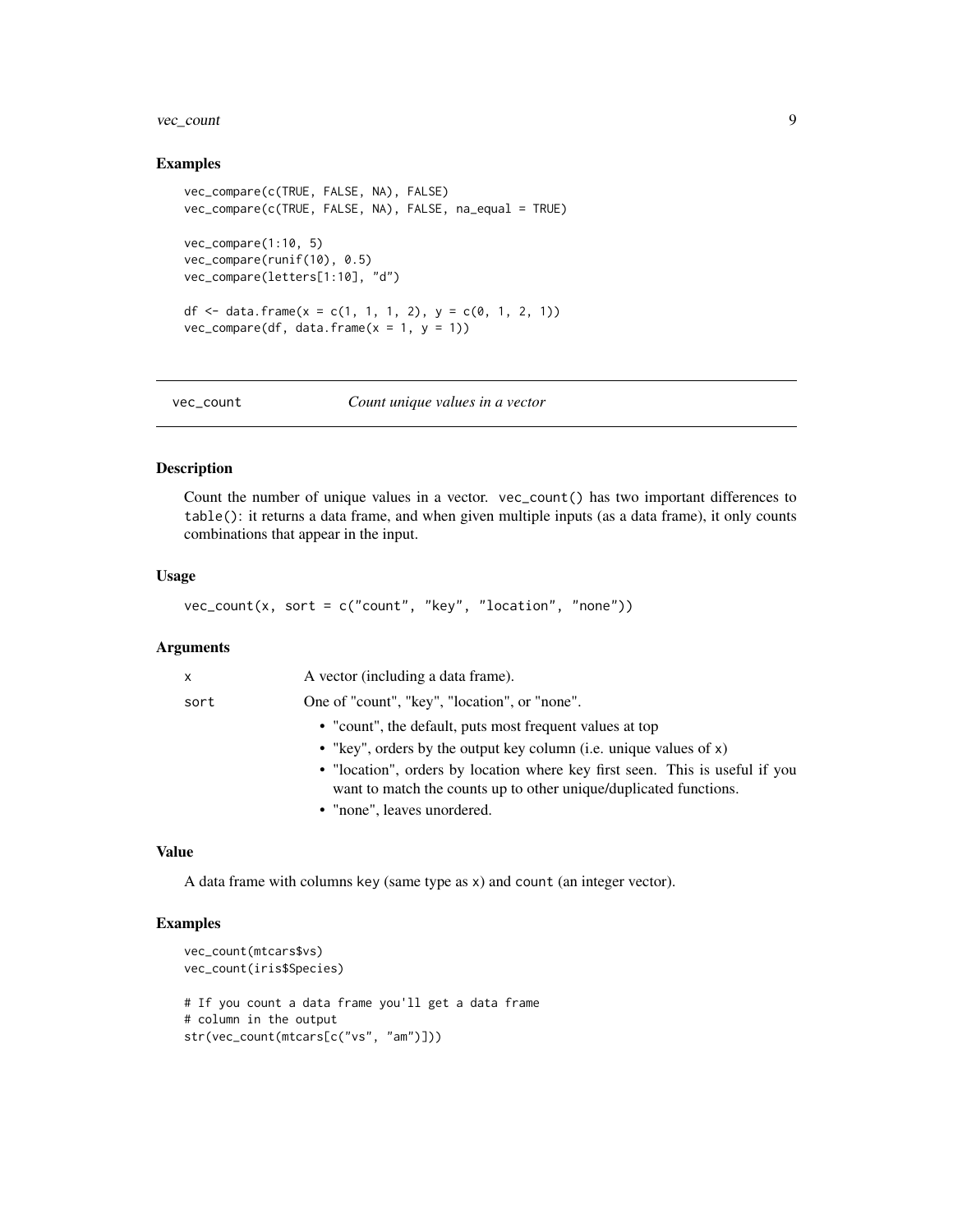# <span id="page-8-0"></span>vec\_count 9

#### Examples

```
vec_compare(c(TRUE, FALSE, NA), FALSE)
vec_compare(c(TRUE, FALSE, NA), FALSE, na_equal = TRUE)
vec_compare(1:10, 5)
vec_compare(runif(10), 0.5)
vec_compare(letters[1:10], "d")
df <- data.frame(x = c(1, 1, 1, 2), y = c(0, 1, 2, 1))
vec_{conv}(df, data.frame(x = 1, y = 1))
```
vec\_count *Count unique values in a vector*

#### Description

Count the number of unique values in a vector. vec\_count() has two important differences to table(): it returns a data frame, and when given multiple inputs (as a data frame), it only counts combinations that appear in the input.

# Usage

vec\_count(x, sort = c("count", "key", "location", "none"))

# Arguments

| $\mathsf{x}$ | A vector (including a data frame).                                                                                                                |
|--------------|---------------------------------------------------------------------------------------------------------------------------------------------------|
| sort         | One of "count", "key", "location", or "none".                                                                                                     |
|              | • "count", the default, puts most frequent values at top                                                                                          |
|              | • "key", orders by the output key column (i.e. unique values of $x$ )                                                                             |
|              | • "location", orders by location where key first seen. This is useful if you<br>want to match the counts up to other unique/duplicated functions. |
|              | • "none", leaves unordered.                                                                                                                       |

#### Value

A data frame with columns key (same type as x) and count (an integer vector).

```
vec_count(mtcars$vs)
vec_count(iris$Species)
# If you count a data frame you'll get a data frame
# column in the output
str(vec_count(mtcars[c("vs", "am")]))
```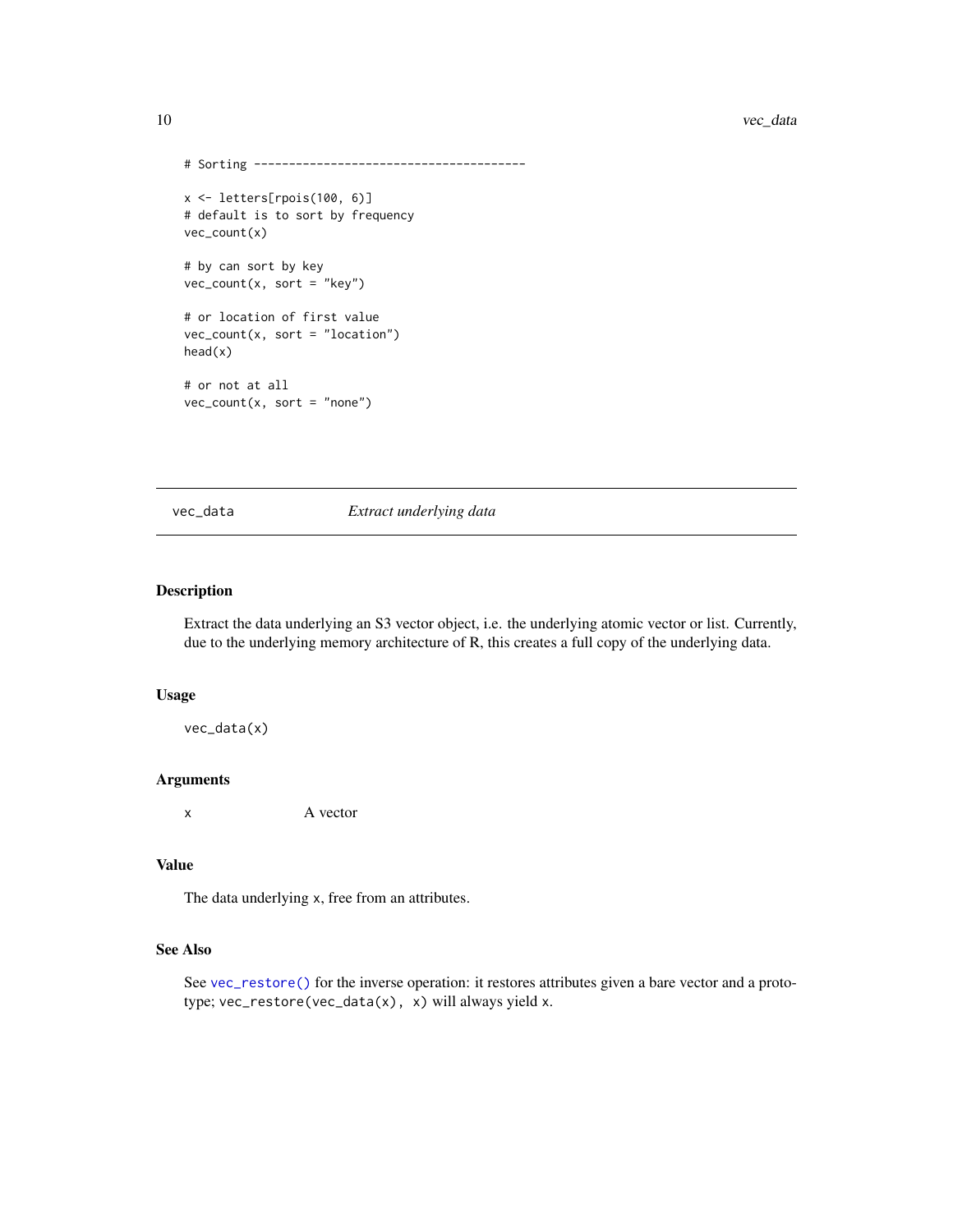```
# Sorting ---------------------------------------
x <- letters[rpois(100, 6)]
# default is to sort by frequency
vec_count(x)
# by can sort by key
vec_count(x, sort = "key")
# or location of first value
vec_count(x, sort = "location")
head(x)
# or not at all
vec\_count(x, sort = "none")
```
vec\_data *Extract underlying data*

# Description

Extract the data underlying an S3 vector object, i.e. the underlying atomic vector or list. Currently, due to the underlying memory architecture of R, this creates a full copy of the underlying data.

# Usage

vec\_data(x)

#### Arguments

x A vector

# Value

The data underlying x, free from an attributes.

# See Also

See [vec\\_restore\(\)](#page-0-0) for the inverse operation: it restores attributes given a bare vector and a prototype; vec\_restore(vec\_data(x), x) will always yield x.

<span id="page-9-0"></span>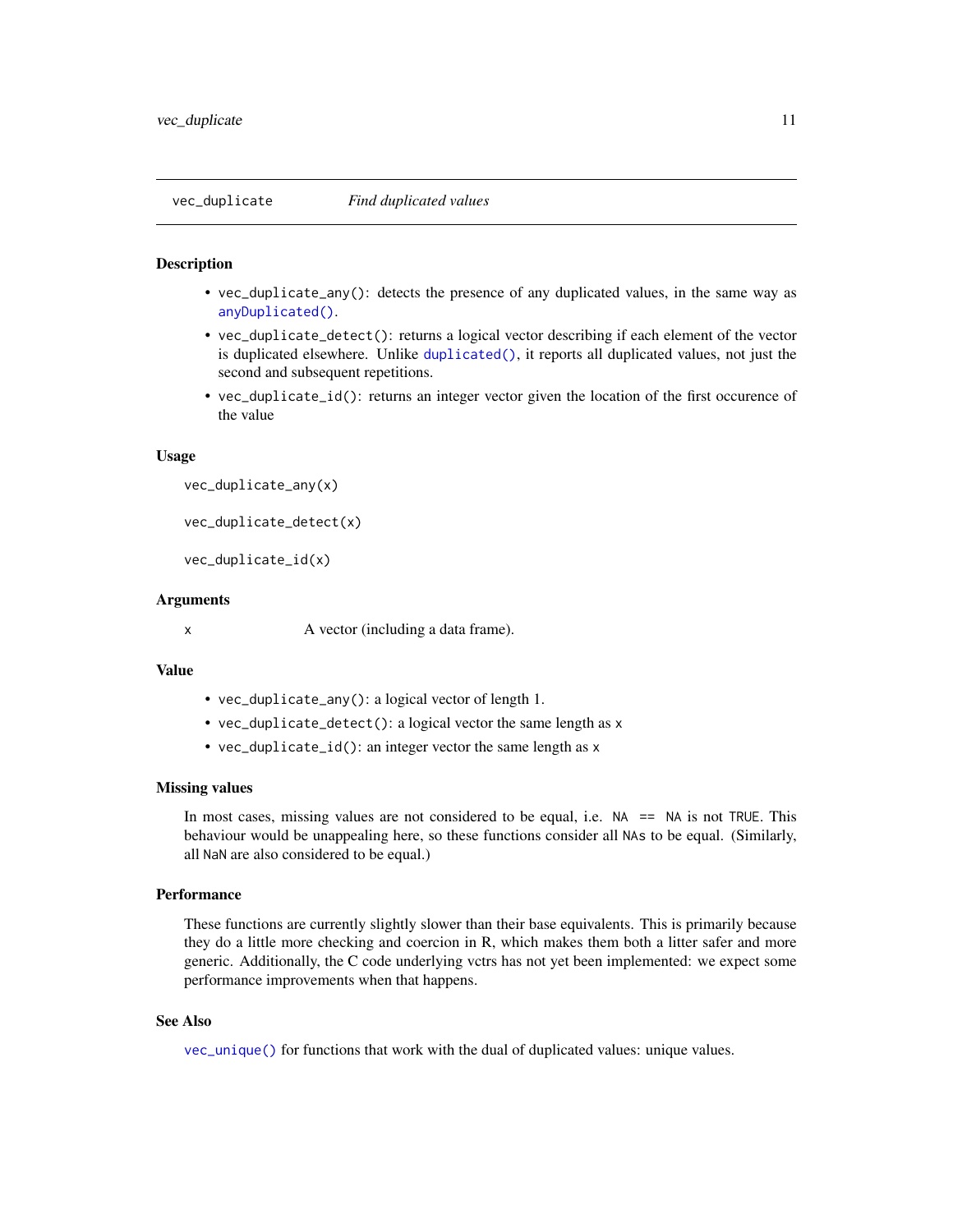<span id="page-10-1"></span><span id="page-10-0"></span>

- vec\_duplicate\_any(): detects the presence of any duplicated values, in the same way as [anyDuplicated\(\)](#page-0-0).
- vec\_duplicate\_detect(): returns a logical vector describing if each element of the vector is duplicated elsewhere. Unlike [duplicated\(\)](#page-0-0), it reports all duplicated values, not just the second and subsequent repetitions.
- vec\_duplicate\_id(): returns an integer vector given the location of the first occurence of the value

#### Usage

```
vec_duplicate_any(x)
```

```
vec_duplicate_detect(x)
```

```
vec_duplicate_id(x)
```
#### Arguments

x A vector (including a data frame).

# Value

- vec\_duplicate\_any(): a logical vector of length 1.
- vec\_duplicate\_detect(): a logical vector the same length as x
- vec\_duplicate\_id(): an integer vector the same length as x

#### Missing values

In most cases, missing values are not considered to be equal, i.e.  $NA = ANA$  is not TRUE. This behaviour would be unappealing here, so these functions consider all NAs to be equal. (Similarly, all NaN are also considered to be equal.)

# **Performance**

These functions are currently slightly slower than their base equivalents. This is primarily because they do a little more checking and coercion in R, which makes them both a litter safer and more generic. Additionally, the C code underlying vctrs has not yet been implemented: we expect some performance improvements when that happens.

# See Also

[vec\\_unique\(\)](#page-17-1) for functions that work with the dual of duplicated values: unique values.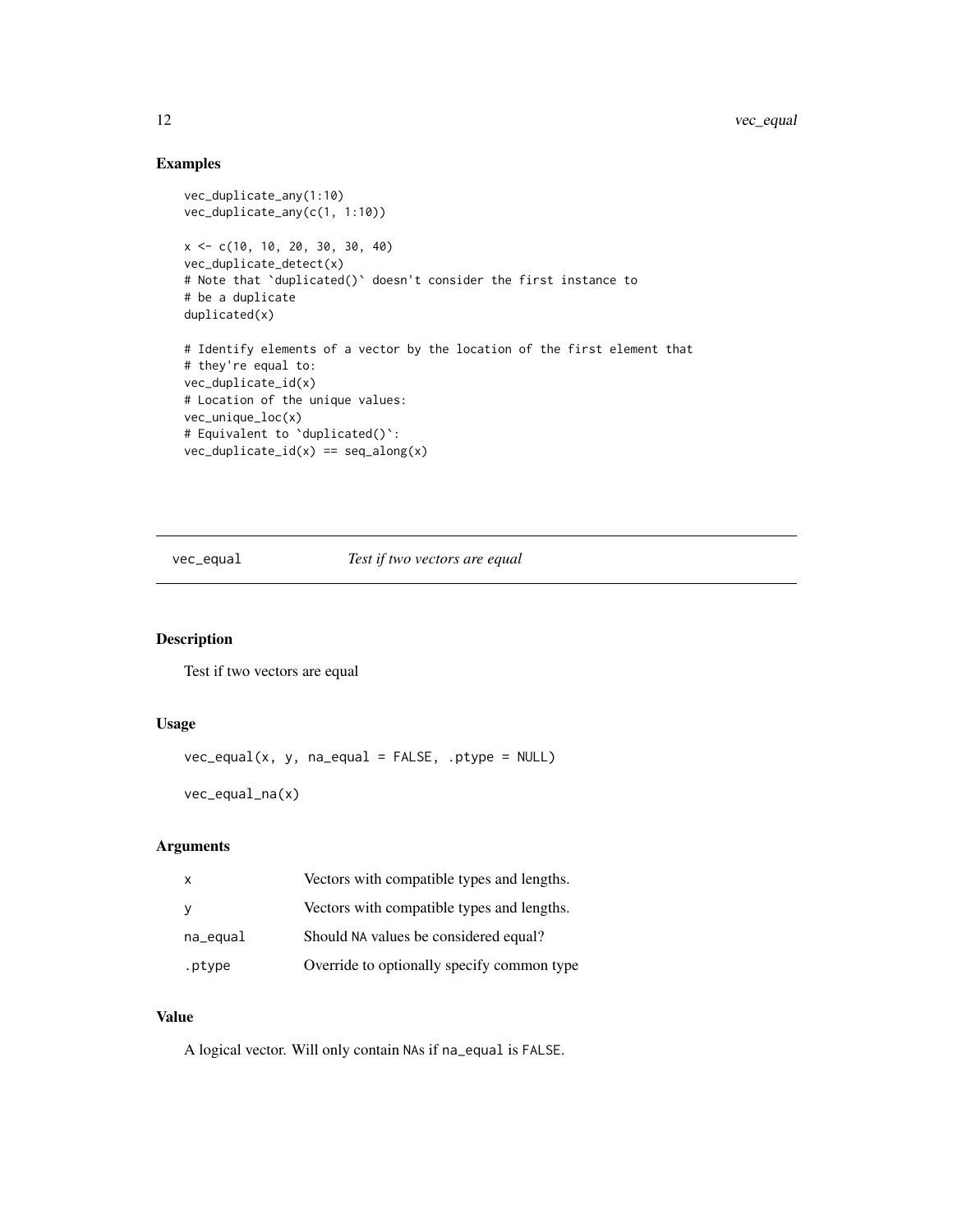# <span id="page-11-0"></span>Examples

```
vec_duplicate_any(1:10)
vec_duplicate_any(c(1, 1:10))
x <- c(10, 10, 20, 30, 30, 40)
vec_duplicate_detect(x)
# Note that `duplicated()` doesn't consider the first instance to
# be a duplicate
duplicated(x)
# Identify elements of a vector by the location of the first element that
# they're equal to:
vec_duplicate_id(x)
# Location of the unique values:
vec_unique_loc(x)
# Equivalent to `duplicated()`:
vec\_dupdate\_id(x) == seq\_along(x)
```
vec\_equal *Test if two vectors are equal*

# Description

Test if two vectors are equal

#### Usage

```
vec_equal(x, y, na_equal = FALSE, .ptype = NULL)
```
vec\_equal\_na(x)

# Arguments

| $\times$ | Vectors with compatible types and lengths. |
|----------|--------------------------------------------|
| <b>V</b> | Vectors with compatible types and lengths. |
| na_equal | Should NA values be considered equal?      |
| .ptype   | Override to optionally specify common type |

# Value

A logical vector. Will only contain NAs if na\_equal is FALSE.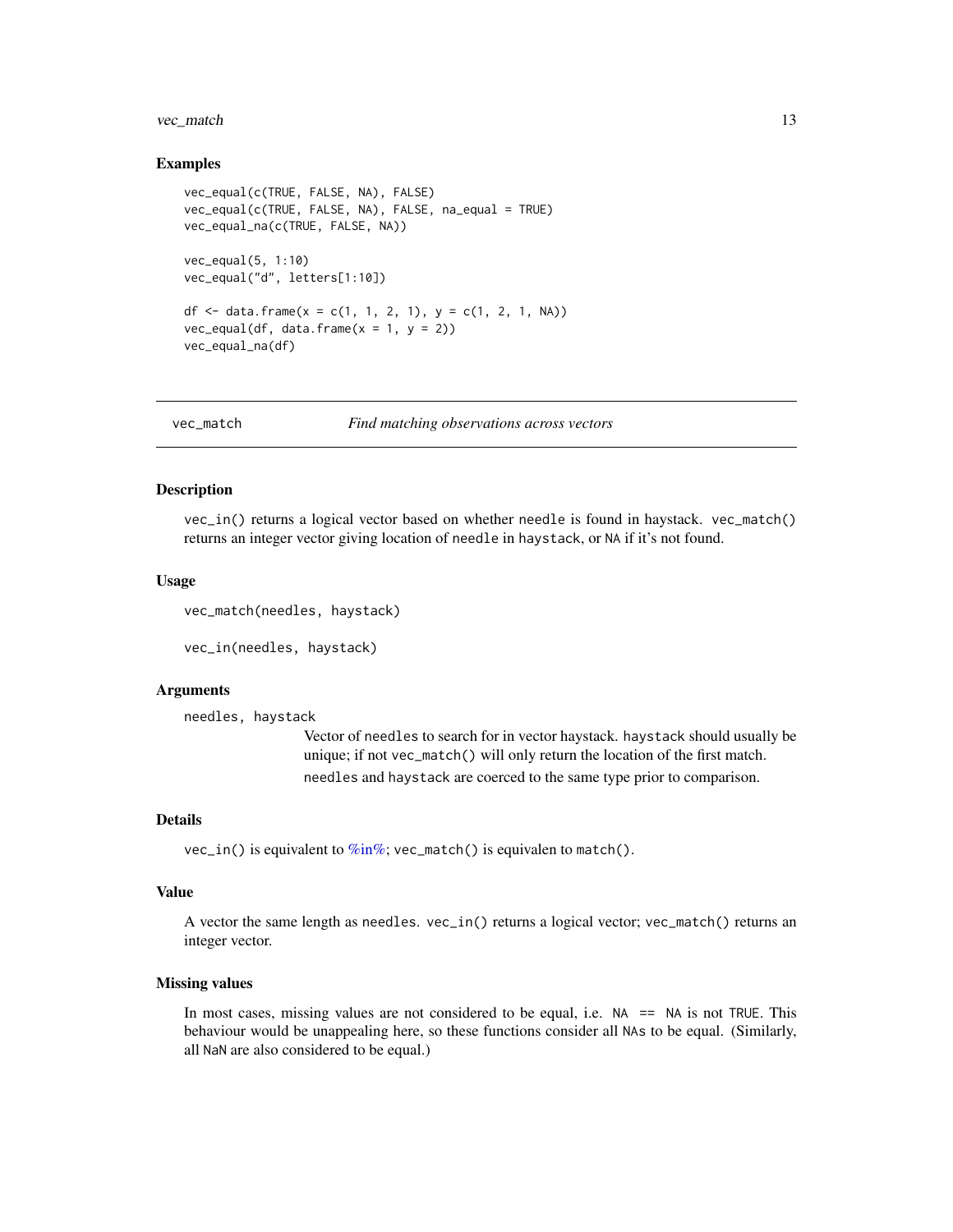#### <span id="page-12-0"></span>vec\_match 13

#### Examples

```
vec_equal(c(TRUE, FALSE, NA), FALSE)
vec_equal(c(TRUE, FALSE, NA), FALSE, na_equal = TRUE)
vec_equal_na(c(TRUE, FALSE, NA))
vec_equal(5, 1:10)
vec_equal("d", letters[1:10])
df <- data.frame(x = c(1, 1, 2, 1), y = c(1, 2, 1, NA))
vec_{equal}(df, data, frame(x = 1, y = 2))vec_equal_na(df)
```

| Find matching observations across vectors |
|-------------------------------------------|
|                                           |

#### Description

vec\_in() returns a logical vector based on whether needle is found in haystack. vec\_match() returns an integer vector giving location of needle in haystack, or NA if it's not found.

#### Usage

```
vec_match(needles, haystack)
```

```
vec_in(needles, haystack)
```
#### Arguments

```
needles, haystack
```
Vector of needles to search for in vector haystack. haystack should usually be unique; if not vec\_match() will only return the location of the first match. needles and haystack are coerced to the same type prior to comparison.

# Details

 $vec_in()$  is equivalent to  $\frac{\%in\%}{\%in}$ ; vec\_match() is equivalen to match().

#### Value

A vector the same length as needles. vec\_in() returns a logical vector; vec\_match() returns an integer vector.

# Missing values

In most cases, missing values are not considered to be equal, i.e.  $NA = ANA$  is not TRUE. This behaviour would be unappealing here, so these functions consider all NAs to be equal. (Similarly, all NaN are also considered to be equal.)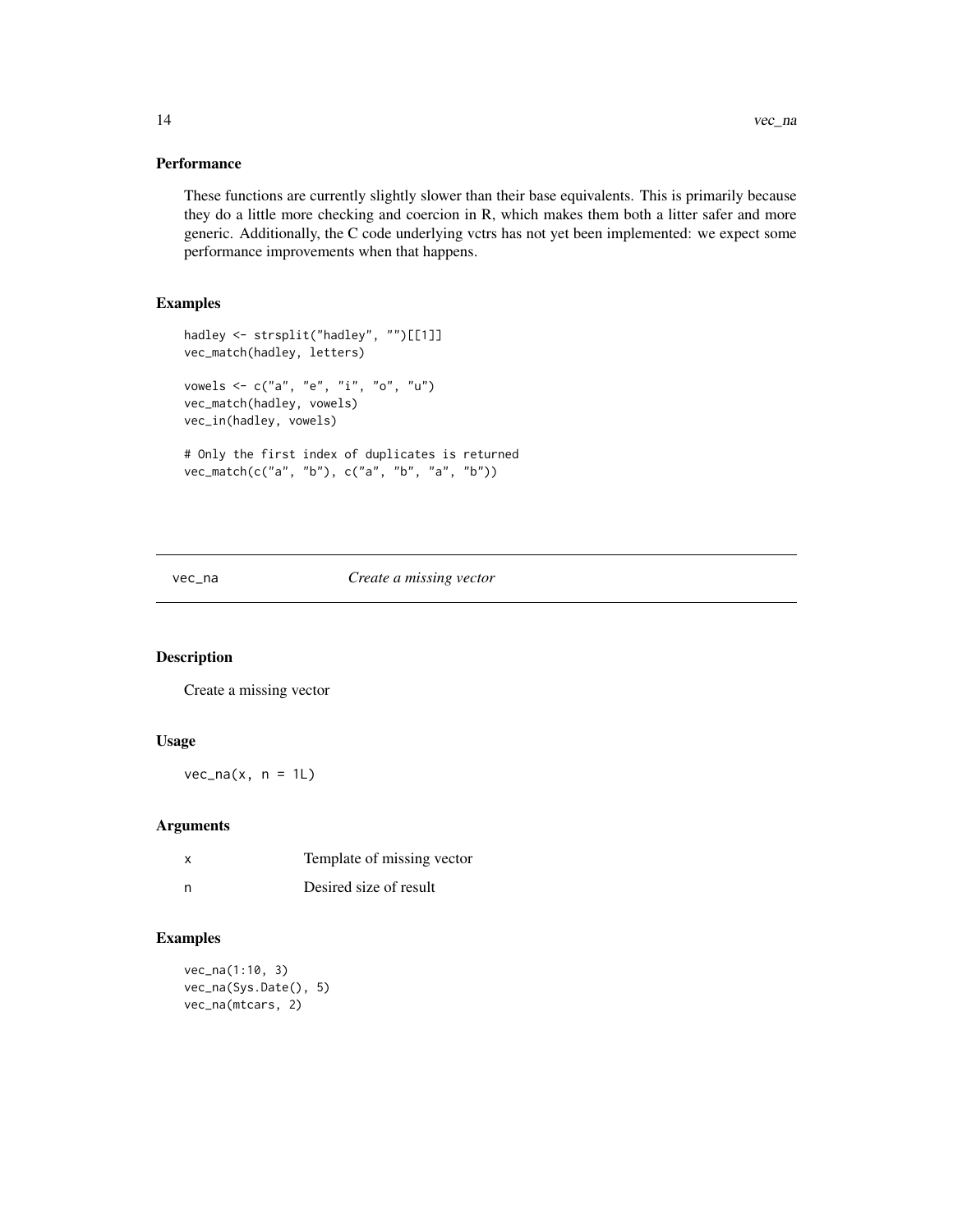# <span id="page-13-0"></span>Performance

These functions are currently slightly slower than their base equivalents. This is primarily because they do a little more checking and coercion in R, which makes them both a litter safer and more generic. Additionally, the C code underlying vctrs has not yet been implemented: we expect some performance improvements when that happens.

# Examples

```
hadley <- strsplit("hadley", "")[[1]]
vec_match(hadley, letters)
vowels <- c("a", "e", "i", "o", "u")
vec_match(hadley, vowels)
vec_in(hadley, vowels)
# Only the first index of duplicates is returned
vec_match(c("a", "b"), c("a", "b", "a", "b"))
```
#### vec\_na *Create a missing vector*

# Description

Create a missing vector

#### Usage

 $vec\_na(x, n = 1L)$ 

#### Arguments

| Template of missing vector |
|----------------------------|
|                            |

# n Desired size of result

```
vec_na(1:10, 3)
vec_na(Sys.Date(), 5)
vec_na(mtcars, 2)
```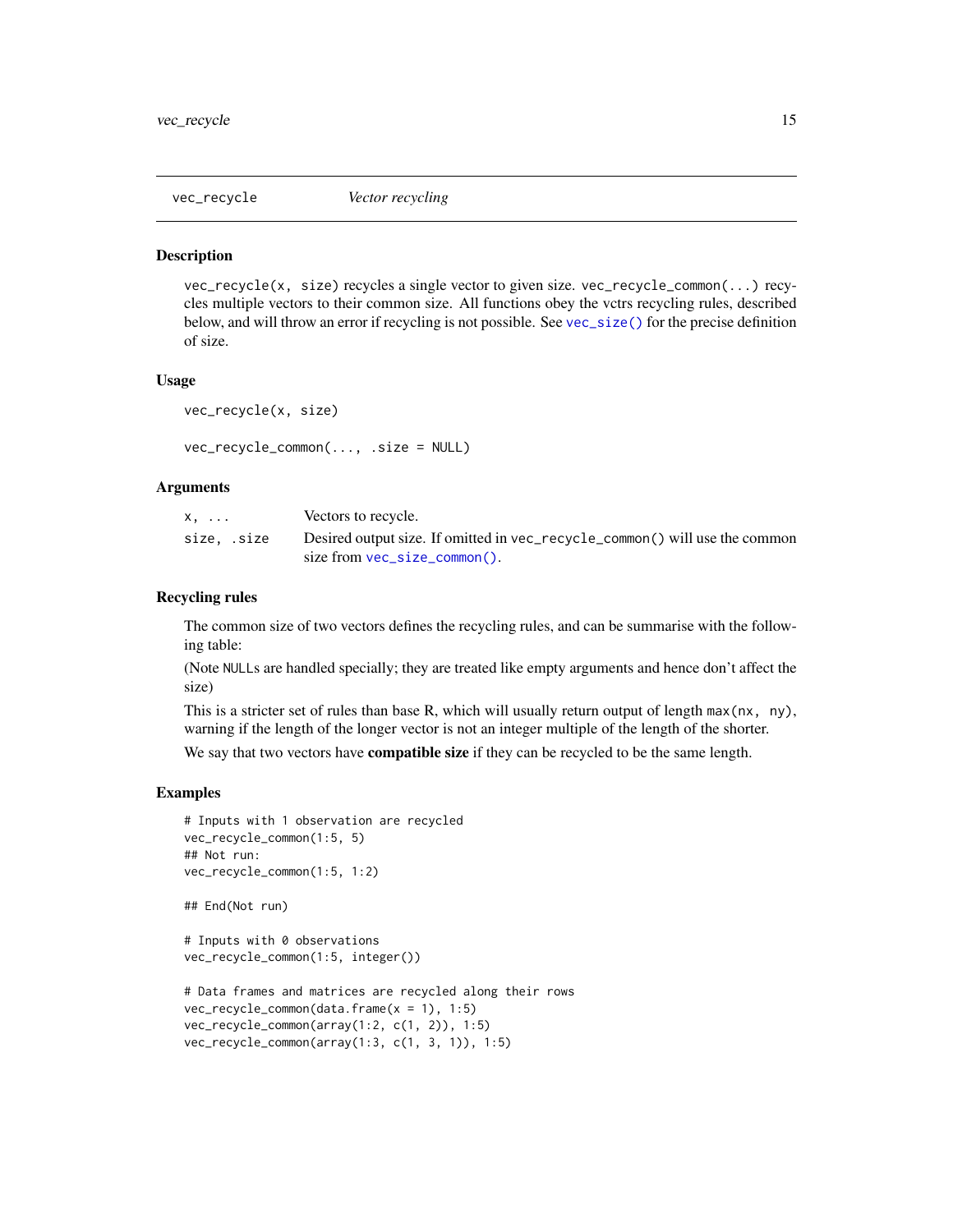<span id="page-14-1"></span><span id="page-14-0"></span>

vec\_recycle(x, size) recycles a single vector to given size. vec\_recycle\_common(...) recycles multiple vectors to their common size. All functions obey the vctrs recycling rules, described below, and will throw an error if recycling is not possible. See [vec\\_size\(\)](#page-15-1) for the precise definition of size.

#### Usage

```
vec_recycle(x, size)
```

```
vec_recycle_common(..., .size = NULL)
```
## Arguments

| x,          | Vectors to recycle.                                                         |
|-------------|-----------------------------------------------------------------------------|
| size, .size | Desired output size. If omitted in vec_recycle_common() will use the common |
|             | size from $vec\_size\_common()$ .                                           |

# Recycling rules

The common size of two vectors defines the recycling rules, and can be summarise with the following table:

(Note NULLs are handled specially; they are treated like empty arguments and hence don't affect the size)

This is a stricter set of rules than base R, which will usually return output of length  $max(nx, ny)$ , warning if the length of the longer vector is not an integer multiple of the length of the shorter.

We say that two vectors have **compatible size** if they can be recycled to be the same length.

```
# Inputs with 1 observation are recycled
vec_recycle_common(1:5, 5)
## Not run:
vec_recycle_common(1:5, 1:2)
## End(Not run)
# Inputs with 0 observations
vec_recycle_common(1:5, integer())
# Data frames and matrices are recycled along their rows
vec_recycle_common(data.frame(x = 1), 1:5)
vec_recycle_common(array(1:2, c(1, 2)), 1:5)
```

```
vec_recycle_common(array(1:3, c(1, 3, 1)), 1:5)
```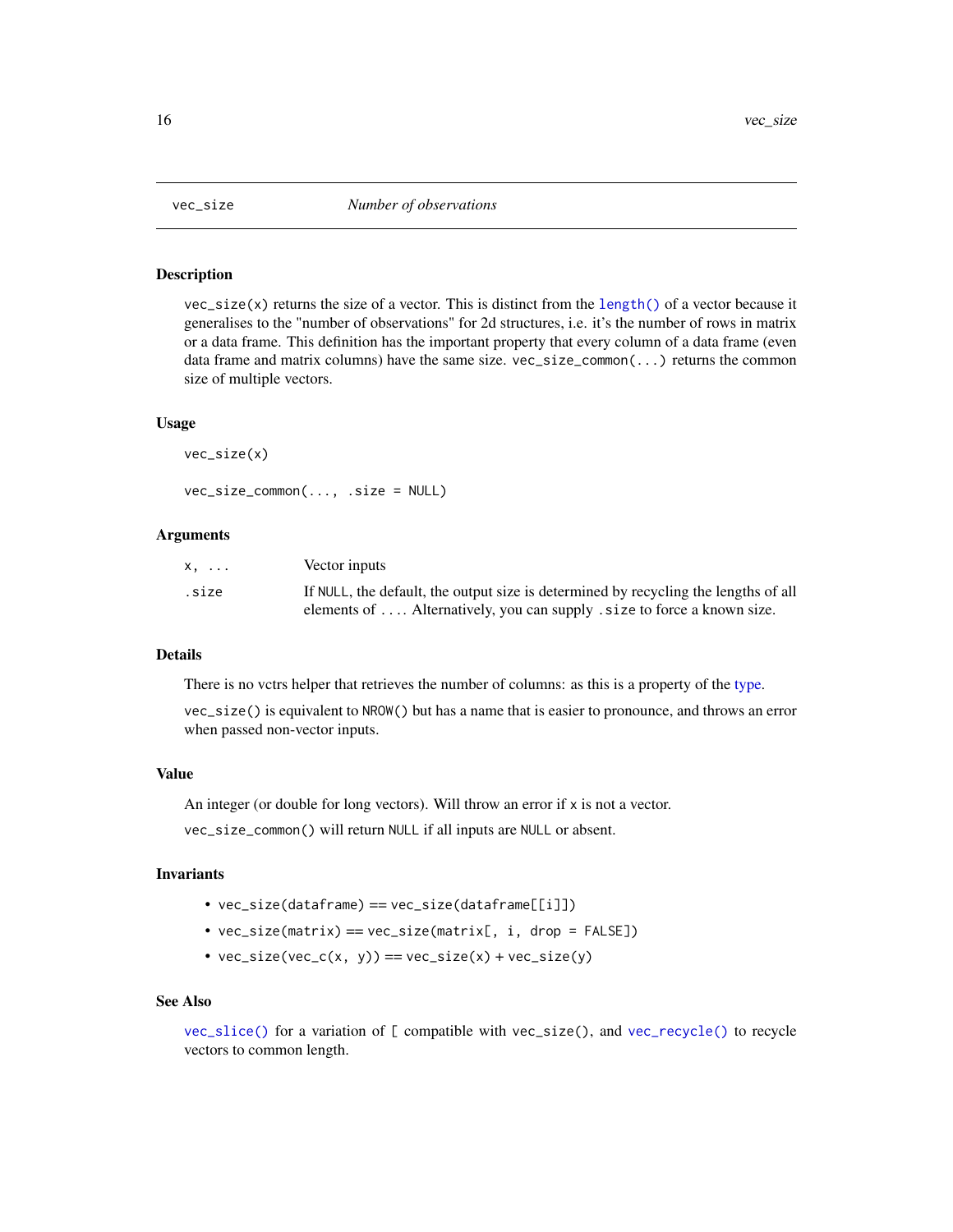<span id="page-15-2"></span><span id="page-15-1"></span><span id="page-15-0"></span>

 $vec_size(x)$  returns the size of a vector. This is distinct from the [length\(\)](#page-0-0) of a vector because it generalises to the "number of observations" for 2d structures, i.e. it's the number of rows in matrix or a data frame. This definition has the important property that every column of a data frame (even data frame and matrix columns) have the same size.  $vec\_size\_common(...)$  returns the common size of multiple vectors.

#### Usage

```
vec_size(x)
vec_size_common(..., .size = NULL)
```
## Arguments

| x.    | Vector inputs                                                                       |
|-------|-------------------------------------------------------------------------------------|
| .size | If NULL, the default, the output size is determined by recycling the lengths of all |
|       | elements of $\dots$ Alternatively, you can supply $size$ to force a known size.     |

# **Details**

There is no vctrs helper that retrieves the number of columns: as this is a property of the [type.](#page-16-1)

vec\_size() is equivalent to NROW() but has a name that is easier to pronounce, and throws an error when passed non-vector inputs.

#### Value

An integer (or double for long vectors). Will throw an error if  $x$  is not a vector.

vec\_size\_common() will return NULL if all inputs are NULL or absent.

#### Invariants

- vec\_size(dataframe) == vec\_size(dataframe[[i]])
- vec\_size(matrix) == vec\_size(matrix[, i, drop = FALSE])
- $vec_size(vec_c(x, y)) == vec_size(x) + vec_size(y)$

# See Also

[vec\\_slice\(\)](#page-0-0) for a variation of [ compatible with vec\_size(), and [vec\\_recycle\(\)](#page-14-1) to recycle vectors to common length.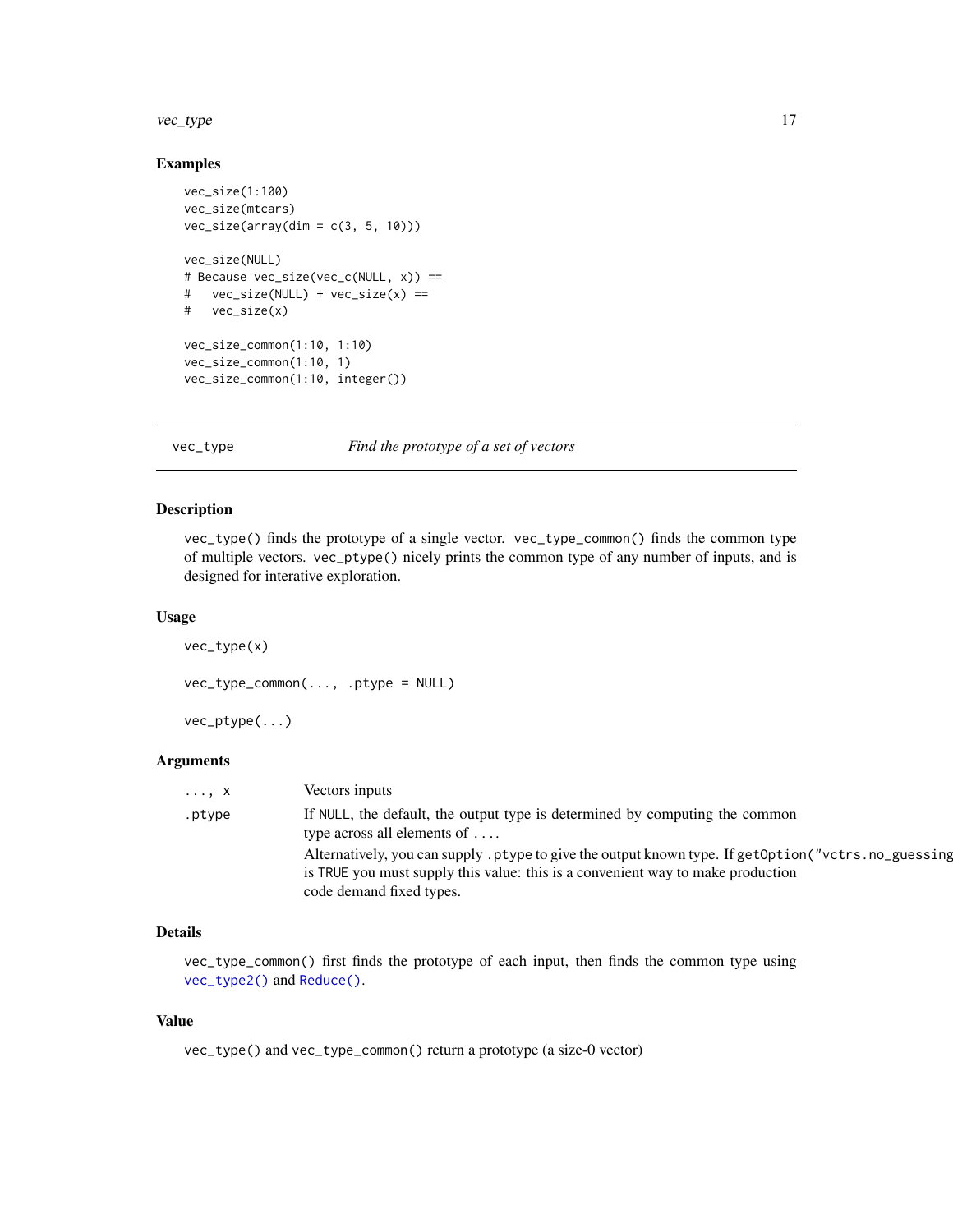#### <span id="page-16-0"></span>vec\_type 17

# Examples

```
vec_size(1:100)
vec_size(mtcars)
vec\_size(array(dim = c(3, 5, 10)))vec_size(NULL)
# Because vec_size(vec_c(NULL, x)) ==
# vec_size(NULL) + vec_size(x) ==
# vec_size(x)
vec_size_common(1:10, 1:10)
vec_size_common(1:10, 1)
vec_size_common(1:10, integer())
```
vec\_type *Find the prototype of a set of vectors*

# <span id="page-16-1"></span>Description

vec\_type() finds the prototype of a single vector. vec\_type\_common() finds the common type of multiple vectors. vec\_ptype() nicely prints the common type of any number of inputs, and is designed for interative exploration.

#### Usage

```
vec_type(x)
vec_type_common(..., .ptype = NULL)
vec_ptype(...)
```
# Arguments

| $\ldots, X$ | Vectors inputs                                                                                                                                                                                                     |
|-------------|--------------------------------------------------------------------------------------------------------------------------------------------------------------------------------------------------------------------|
| .ptype      | If NULL, the default, the output type is determined by computing the common<br>type across all elements of $\dots$                                                                                                 |
|             | Alternatively, you can supply ptype to give the output known type. If getOption ("vctrs.no_guessing<br>is TRUE you must supply this value: this is a convenient way to make production<br>code demand fixed types. |

# Details

vec\_type\_common() first finds the prototype of each input, then finds the common type using [vec\\_type2\(\)](#page-0-0) and [Reduce\(\)](#page-0-0).

# Value

vec\_type() and vec\_type\_common() return a prototype (a size-0 vector)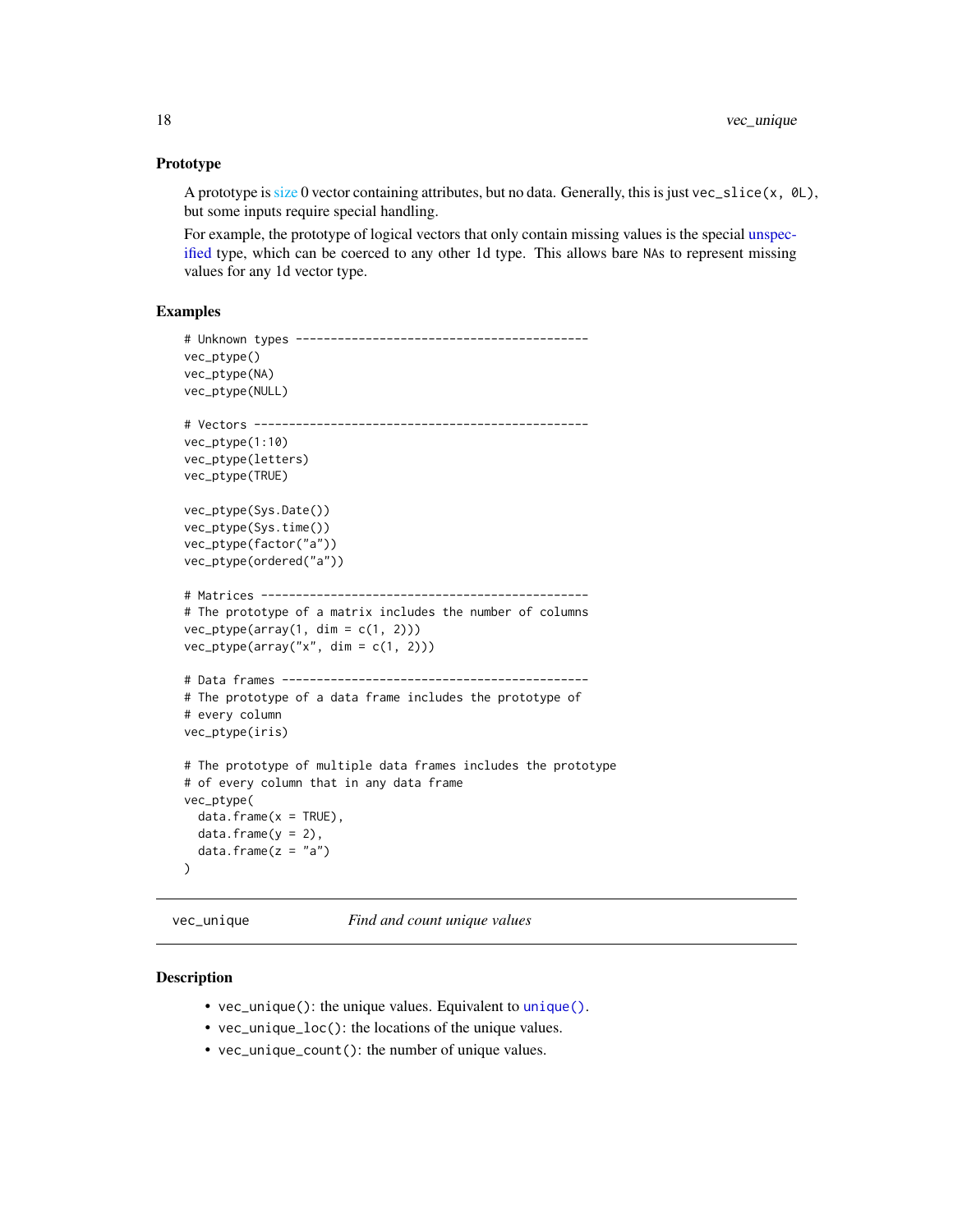# <span id="page-17-0"></span>Prototype

A prototype is [size](#page-0-0) 0 vector containing attributes, but no data. Generally, this is just vec\_slice(x,  $\emptyset$ L), but some inputs require special handling.

For example, the prototype of logical vectors that only contain missing values is the special [unspec](#page-0-0)[ified](#page-0-0) type, which can be coerced to any other 1d type. This allows bare NAs to represent missing values for any 1d vector type.

# Examples

```
# Unknown types ------------------------------------------
vec_ptype()
vec_ptype(NA)
vec_ptype(NULL)
# Vectors ------------------------------------------------
vec_ptype(1:10)
vec_ptype(letters)
vec_ptype(TRUE)
vec_ptype(Sys.Date())
vec_ptype(Sys.time())
vec_ptype(factor("a"))
vec_ptype(ordered("a"))
# Matrices -----------------------------------------------
# The prototype of a matrix includes the number of columns
vec_ptype(array(1, dim = c(1, 2)))vec_ptype(array("x", dim = c(1, 2)))
# Data frames --------------------------------------------
# The prototype of a data frame includes the prototype of
# every column
vec_ptype(iris)
# The prototype of multiple data frames includes the prototype
# of every column that in any data frame
vec_ptype(
  data.frame(x = TRUE),
  data.frame(y = 2),
  data.frame(z = "a"))
```
<span id="page-17-1"></span>vec\_unique *Find and count unique values*

#### **Description**

- vec\_unique(): the unique values. Equivalent to [unique\(\)](#page-0-0).
- vec\_unique\_loc(): the locations of the unique values.
- vec\_unique\_count(): the number of unique values.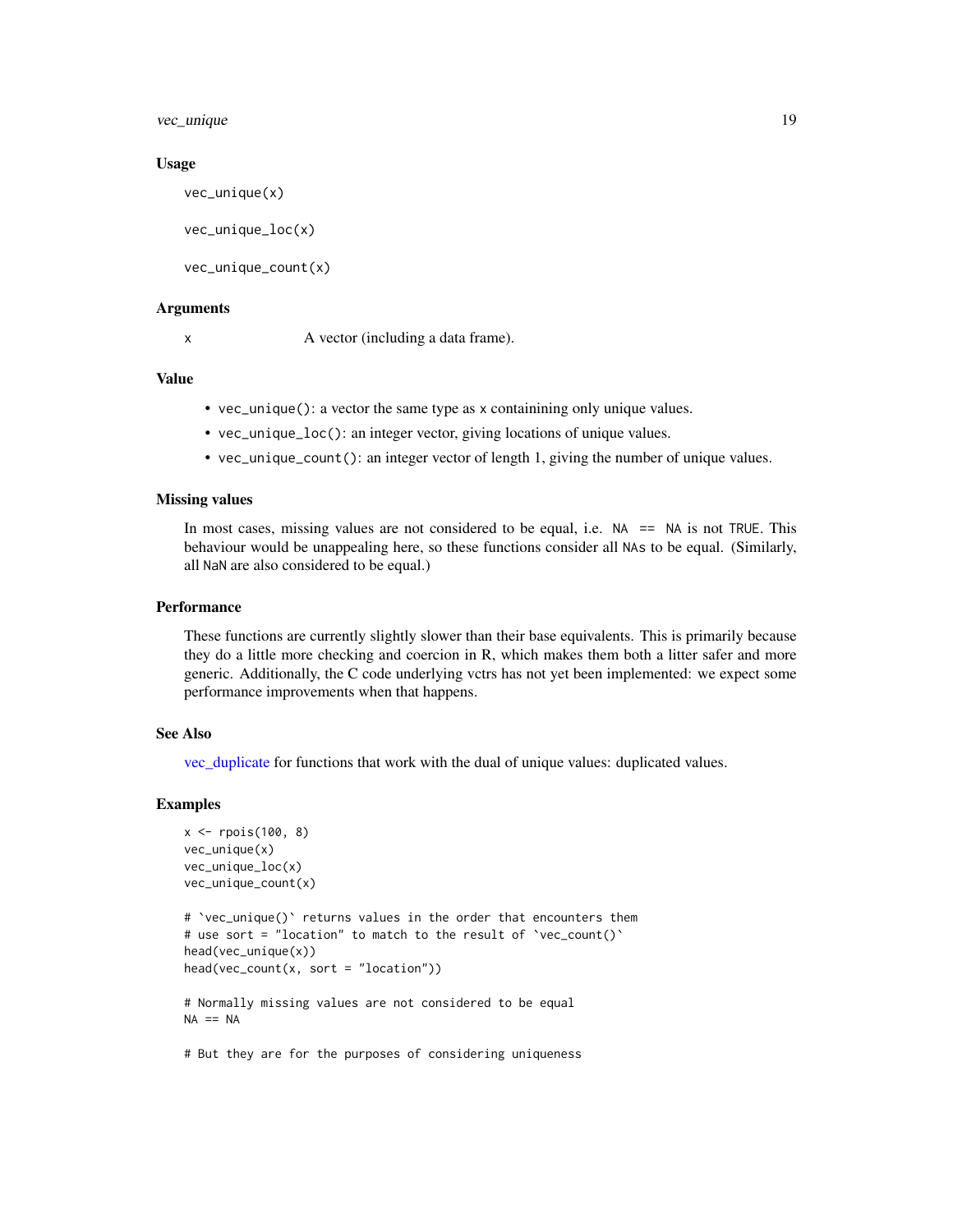<span id="page-18-0"></span>vec\_unique 19

#### Usage

vec\_unique(x)

```
vec_unique_loc(x)
```
vec\_unique\_count(x)

# Arguments

x A vector (including a data frame).

# Value

- vec\_unique(): a vector the same type as x containining only unique values.
- vec\_unique\_loc(): an integer vector, giving locations of unique values.
- vec\_unique\_count(): an integer vector of length 1, giving the number of unique values.

# Missing values

In most cases, missing values are not considered to be equal, i.e.  $NA = ANA$  is not TRUE. This behaviour would be unappealing here, so these functions consider all NAs to be equal. (Similarly, all NaN are also considered to be equal.)

# Performance

These functions are currently slightly slower than their base equivalents. This is primarily because they do a little more checking and coercion in R, which makes them both a litter safer and more generic. Additionally, the C code underlying vctrs has not yet been implemented: we expect some performance improvements when that happens.

# See Also

[vec\\_duplicate](#page-10-1) for functions that work with the dual of unique values: duplicated values.

# Examples

```
x \leq - rpois(100, 8)
vec_unique(x)
vec_unique_loc(x)
vec_unique_count(x)
```

```
# `vec_unique()` returns values in the order that encounters them
# use sort = "location" to match to the result of `vec_count()`
head(vec_unique(x))
head(vec_count(x, sort = "location"))
```
# Normally missing values are not considered to be equal  $NA == NA$ 

# But they are for the purposes of considering uniqueness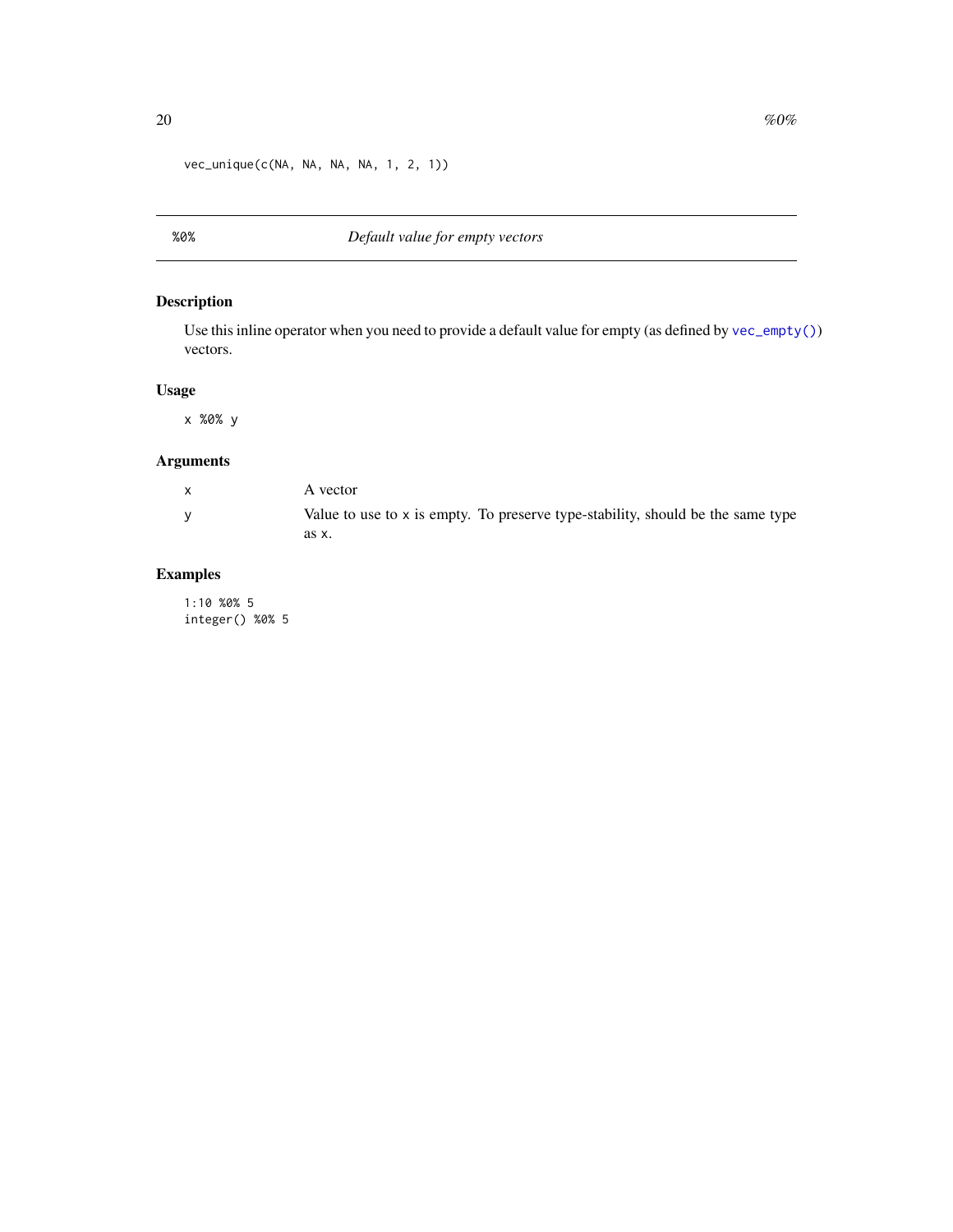<span id="page-19-0"></span>vec\_unique(c(NA, NA, NA, NA, 1, 2, 1))

# Description

Use this inline operator when you need to provide a default value for empty (as defined by [vec\\_empty\(\)](#page-1-1)) vectors.

# Usage

x %0% y

# Arguments

| A vector                                                                        |
|---------------------------------------------------------------------------------|
| Value to use to x is empty. To preserve type-stability, should be the same type |
| as x.                                                                           |

# Examples

1:10 %0% 5 integer() %0% 5